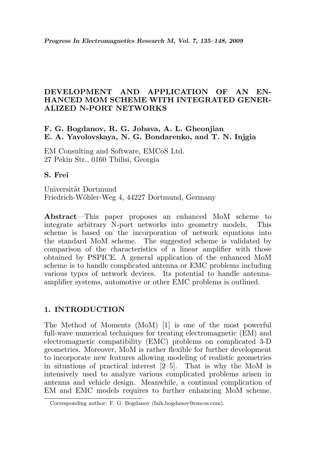## DEVELOPMENT AND APPLICATION OF AN EN-HANCED MOM SCHEME WITH INTEGRATED GENER-ALIZED N-PORT NETWORKS

## F. G. Bogdanov, R. G. Jobava, A. L. Gheonjian E. A. Yavolovskaya, N. G. Bondarenko, and T. N. Injgia

EM Consulting and Software, EMCoS Ltd. 27 Pekin Str., 0160 Tbilisi, Georgia

## S. Frei

Universität Dortmund Friedrich-W¨ohler-Weg 4, 44227 Dortmund, Germany

Abstract—This paper proposes an enhanced MoM scheme to integrate arbitrary N-port networks into geometry models. This scheme is based on the incorporation of network equations into the standard MoM scheme. The suggested scheme is validated by comparison of the characteristics of a linear amplifier with those obtained by PSPICE. A general application of the enhanced MoM scheme is to handle complicated antenna or EMC problems including various types of network devices. Its potential to handle antennaamplifier systems, automotive or other EMC problems is outlined.

# 1. INTRODUCTION

The Method of Moments (MoM) [1] is one of the most powerful full-wave numerical techniques for treating electromagnetic (EM) and electromagnetic compatibility (EMC) problems on complicated 3-D geometries. Moreover, MoM is rather flexible for further development to incorporate new features allowing modeling of realistic geometries in situations of practical interest [2–5]. That is why the MoM is intensively used to analyze various complicated problems arisen in antenna and vehicle design. Meanwhile, a continual complication of EM and EMC models requires to further enhancing MoM scheme.

Corresponding author: F. G. Bogdanov (faik.bogdanov@emcos.com).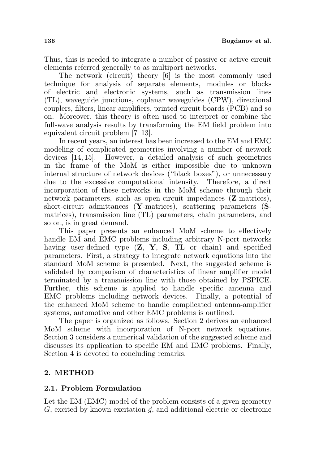Thus, this is needed to integrate a number of passive or active circuit elements referred generally to as multiport networks.

The network (circuit) theory [6] is the most commonly used technique for analysis of separate elements, modules or blocks of electric and electronic systems, such as transmission lines (TL), waveguide junctions, coplanar waveguides (CPW), directional couplers, filters, linear amplifiers, printed circuit boards (PCB) and so on. Moreover, this theory is often used to interpret or combine the full-wave analysis results by transforming the EM field problem into equivalent circuit problem [7–13].

In recent years, an interest has been increased to the EM and EMC modeling of complicated geometries involving a number of network devices [14, 15]. However, a detailed analysis of such geometries in the frame of the MoM is either impossible due to unknown internal structure of network devices ("black boxes"), or unnecessary due to the excessive computational intensity. Therefore, a direct incorporation of these networks in the MoM scheme through their network parameters, such as open-circuit impedances (Z-matrices), short-circuit admittances (Y-matrices), scattering parameters (Smatrices), transmission line (TL) parameters, chain parameters, and so on, is in great demand.

This paper presents an enhanced MoM scheme to effectively handle EM and EMC problems including arbitrary N-port networks having user-defined type  $(Z, Y, S, TL$  or chain) and specified parameters. First, a strategy to integrate network equations into the standard MoM scheme is presented. Next, the suggested scheme is validated by comparison of characteristics of linear amplifier model terminated by a transmission line with those obtained by PSPICE. Further, this scheme is applied to handle specific antenna and EMC problems including network devices. Finally, a potential of the enhanced MoM scheme to handle complicated antenna-amplifier systems, automotive and other EMC problems is outlined.

The paper is organized as follows. Section 2 derives an enhanced MoM scheme with incorporation of N-port network equations. Section 3 considers a numerical validation of the suggested scheme and discusses its application to specific EM and EMC problems. Finally, Section 4 is devoted to concluding remarks.

## 2. METHOD

### 2.1. Problem Formulation

Let the EM (EMC) model of the problem consists of a given geometry G, excited by known excitation  $\vec{q}$ , and additional electric or electronic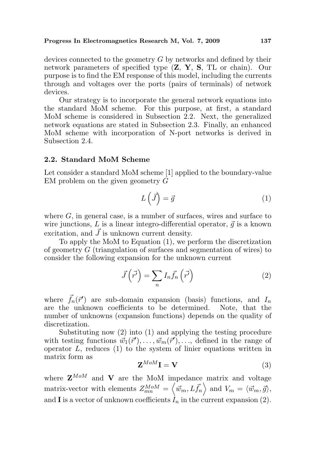devices connected to the geometry G by networks and defined by their network parameters of specified type (Z, Y, S, TL or chain). Our purpose is to find the EM response of this model, including the currents through and voltages over the ports (pairs of terminals) of network devices.

Our strategy is to incorporate the general network equations into the standard MoM scheme. For this purpose, at first, a standard MoM scheme is considered in Subsection 2.2. Next, the generalized network equations are stated in Subsection 2.3. Finally, an enhanced MoM scheme with incorporation of N-port networks is derived in Subsection 2.4.

#### 2.2. Standard MoM Scheme

Let consider a standard MoM scheme [1] applied to the boundary-value EM problem on the given geometry  $\tilde{G}$ 

$$
L(\vec{J}) = \vec{g} \tag{1}
$$

where  $G$ , in general case, is a number of surfaces, wires and surface to wire junctions,  $L$  is a linear integro-differential operator,  $\vec{q}$  is a known excitation, and  $\vec{J}$  is unknown current density.

To apply the MoM to Equation (1), we perform the discretization of geometry G (triangulation of surfaces and segmentation of wires) to consider the following expansion for the unknown current

$$
\vec{J}\left(\vec{r'}\right) = \sum_{n} I_n \vec{f}_n\left(\vec{r'}\right) \tag{2}
$$

where  $\vec{f}_n(\vec{r}')$  are sub-domain expansion (basis) functions, and  $I_n$ are the unknown coefficients to be determined. Note, that the number of unknowns (expansion functions) depends on the quality of discretization.

Substituting now (2) into (1) and applying the testing procedure with testing functions  $\vec{w}_1(\vec{r}'), \ldots, \vec{w}_m(\vec{r}'), \ldots$ , defined in the range of operator  $L$ , reduces  $(1)$  to the system of linier equations written in matrix form as

$$
\mathbf{Z}^{MoM}\mathbf{I} = \mathbf{V} \tag{3}
$$

where  $\mathbf{Z}^{MoM}$  and  $\mathbf{V}$  are the MoM impedance matrix and voltage matrix-vector with elements  $Z_{mn}^{MoM} = \langle \vec{w}_m, L\vec{f}_n \rangle$  and  $V_m = \langle \vec{w}_m, \vec{g} \rangle$ , and **I** is a vector of unknown coefficients  $I_n$  in the current expansion (2).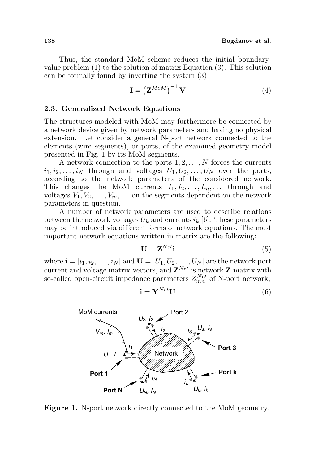Thus, the standard MoM scheme reduces the initial boundaryvalue problem (1) to the solution of matrix Equation (3). This solution can be formally found by inverting the system (3)

$$
\mathbf{I} = \left(\mathbf{Z}^{MoM}\right)^{-1} \mathbf{V} \tag{4}
$$

### 2.3. Generalized Network Equations

The structures modeled with MoM may furthermore be connected by a network device given by network parameters and having no physical extension. Let consider a general N-port network connected to the elements (wire segments), or ports, of the examined geometry model presented in Fig. 1 by its MoM segments.

A network connection to the ports  $1, 2, \ldots, N$  forces the currents  $i_1, i_2, \ldots, i_N$  through and voltages  $U_1, U_2, \ldots, U_N$  over the ports, according to the network parameters of the considered network. This changes the MoM currents  $I_1, I_2, \ldots, I_m, \ldots$  through and voltages  $V_1, V_2, \ldots, V_m, \ldots$  on the segments dependent on the network parameters in question.

A number of network parameters are used to describe relations between the network voltages  $U_k$  and currents  $i_k$  [6]. These parameters may be introduced via different forms of network equations. The most important network equations written in matrix are the following:

$$
\mathbf{U} = \mathbf{Z}^{Net} \mathbf{i} \tag{5}
$$

where  $\mathbf{i} = [i_1, i_2, \dots, i_N]$  and  $\mathbf{U} = [U_1, U_2, \dots, U_N]$  are the network port current and voltage matrix-vectors, and  $\mathbf{Z}^{Net}$  is network  $\mathbf{Z}$ -matrix with so-called open-circuit impedance parameters  $Z_{mn}^{Net}$  of N-port network;

$$
\mathbf{i} = \mathbf{Y}^{Net} \mathbf{U} \tag{6}
$$



Figure 1. N-port network directly connected to the MoM geometry.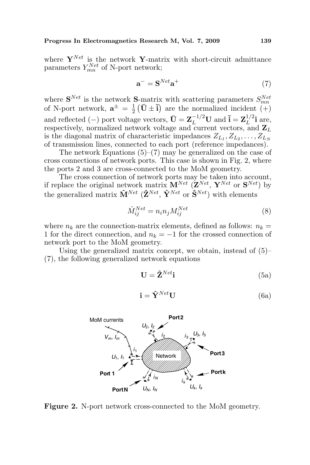where  $\mathbf{Y}^{Net}$  is the network Y-matrix with short-circuit admittance parameters  $Y_{mn}^{Net}$  of N-port network;

$$
\mathbf{a}^- = \mathbf{S}^{Net} \mathbf{a}^+ \tag{7}
$$

where  $\mathbf{S}^{Net}$  is the network  $\mathbf{S}$ -matrix with scattering parameters  $S_{mn}^{Net}$ of N-port network,  $\mathbf{a}^{\pm} = \frac{1}{2}$  $\frac{1}{2}$  ( $\bar{U} \pm \bar{i}$ ) are the normalized incident (+) and reflected (−) port voltage vectors,  $\bar{U} = Z_L^{-1/2}U$  and  $\bar{i} = Z_L^{1/2}$  $L^{1/2}$ **i** are, respectively, normalized network voltage and current vectors, and  $\mathbf{Z}_L$ is the diagonal matrix of characteristic impedances  $Z_{L_1}, Z_{L_2}, \ldots, Z_{L_N}$ of transmission lines, connected to each port (reference impedances).

The network Equations  $(5)-(7)$  may be generalized on the case of cross connections of network ports. This case is shown in Fig. 2, where the ports 2 and 3 are cross-connected to the MoM geometry.

The cross connection of network ports may be taken into account, if replace the original network matrix  $\mathbf{M}^{Net}$  ( $\mathbf{Z}^{Net}$ ,  $\mathbf{Y}^{Net}$  or  $\mathbf{S}^{Net}$ ) by the generalized matrix  $\hat{\mathbf{M}}^{Net}$  ( $\hat{\mathbf{Z}}^{Net}$ ,  $\hat{\mathbf{Y}}^{Net}$  or  $\hat{\mathbf{S}}^{Net}$ ) with elements

$$
\hat{M}_{ij}^{Net} = n_i n_j M_{ij}^{Net} \tag{8}
$$

where  $n_k$  are the connection-matrix elements, defined as follows:  $n_k =$ 1 for the direct connection, and  $n_k = -1$  for the crossed connection of network port to the MoM geometry.

Using the generalized matrix concept, we obtain, instead of (5)– (7), the following generalized network equations

$$
\mathbf{U} = \hat{\mathbf{Z}}^{Net} \mathbf{i} \tag{5a}
$$

$$
\mathbf{i} = \hat{\mathbf{Y}}^{Net} \mathbf{U} \tag{6a}
$$



Figure 2. N-port network cross-connected to the MoM geometry.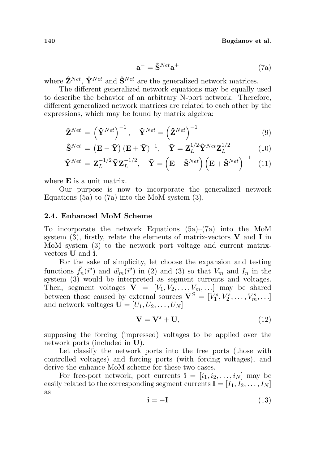$$
\mathbf{a}^- = \hat{\mathbf{S}}^{Net} \mathbf{a}^+ \tag{7a}
$$

where  $\hat{\mathbf{Z}}^{Net}$ ,  $\hat{\mathbf{Y}}^{Net}$  and  $\hat{\mathbf{S}}^{Net}$  are the generalized network matrices.

The different generalized network equations may be equally used to describe the behavior of an arbitrary N-port network. Therefore, different generalized network matrices are related to each other by the expressions, which may be found by matrix algebra:

$$
\hat{\mathbf{Z}}^{Net} = \left(\hat{\mathbf{Y}}^{Net}\right)^{-1}, \quad \hat{\mathbf{Y}}^{Net} = \left(\hat{\mathbf{Z}}^{Net}\right)^{-1}
$$
\n(9)

$$
\hat{\mathbf{S}}^{Net} = (\mathbf{E} - \bar{\mathbf{Y}}) (\mathbf{E} + \bar{\mathbf{Y}})^{-1}, \quad \bar{\mathbf{Y}} = \mathbf{Z}_{L}^{1/2} \hat{\mathbf{Y}}^{Net} \mathbf{Z}_{L}^{1/2}
$$
(10)

$$
\hat{\mathbf{Y}}^{Net} = \mathbf{Z}_{L}^{-1/2} \bar{\mathbf{Y}} \mathbf{Z}_{L}^{-1/2}, \quad \bar{\mathbf{Y}} = \left(\mathbf{E} - \hat{\mathbf{S}}^{Net}\right) \left(\mathbf{E} + \hat{\mathbf{S}}^{Net}\right)^{-1} \quad (11)
$$

where **E** is a unit matrix.

Our purpose is now to incorporate the generalized network Equations (5a) to (7a) into the MoM system (3).

### 2.4. Enhanced MoM Scheme

To incorporate the network Equations (5a)–(7a) into the MoM system  $(3)$ , firstly, relate the elements of matrix-vectors **V** and **I** in MoM system (3) to the network port voltage and current matrixvectors U and i.

For the sake of simplicity, let choose the expansion and testing functions  $\vec{f}_n(\vec{r}')$  and  $\vec{w}_m(\vec{r}')$  in (2) and (3) so that  $V_m$  and  $I_n$  in the system (3) would be interpreted as segment currents and voltages. Then, segment voltages  $\mathbf{V} = [V_1, V_2, \dots, V_m, \dots]$  may be shared between those caused by external sources  $\mathbf{V}^S = [V_1^s, V_2^s, \dots, V_m^s, \dots]$ and network voltages  $\mathbf{U} = [U_1, U_2, \dots, U_N]$ 

$$
\mathbf{V} = \mathbf{V}^s + \mathbf{U},\tag{12}
$$

supposing the forcing (impressed) voltages to be applied over the network ports (included in U).

Let classify the network ports into the free ports (those with controlled voltages) and forcing ports (with forcing voltages), and derive the enhance MoM scheme for these two cases.

For free-port network, port currents  $\mathbf{i} = [i_1, i_2, \dots, i_N]$  may be easily related to the corresponding segment currents  $\mathbf{I} = [I_1, I_2, \ldots, I_N]$ as

$$
\mathbf{i} = -\mathbf{I} \tag{13}
$$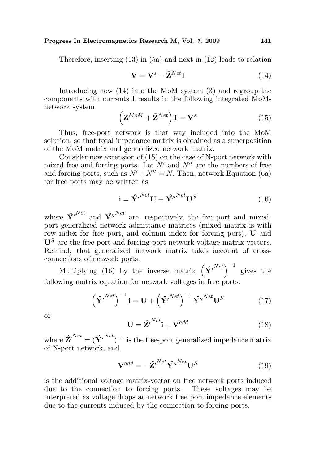Therefore, inserting (13) in (5a) and next in (12) leads to relation

$$
\mathbf{V} = \mathbf{V}^s - \hat{\mathbf{Z}}^{Net} \mathbf{I}
$$
 (14)

Introducing now (14) into the MoM system (3) and regroup the components with currents I results in the following integrated MoMnetwork system  $\overline{a}$ 

$$
\left(\mathbf{Z}^{MoM} + \hat{\mathbf{Z}}^{Net}\right)\mathbf{I} = \mathbf{V}^s
$$
 (15)

Thus, free-port network is that way included into the MoM solution, so that total impedance matrix is obtained as a superposition of the MoM matrix and generalized network matrix.

Consider now extension of (15) on the case of N-port network with mixed free and forcing ports. Let  $N'$  and  $N''$  are the numbers of free and forcing ports, such as  $N' + N'' = N$ . Then, network Equation (6a) for free ports may be written as

$$
\mathbf{i} = \hat{\mathbf{Y}}^{l^{Net}} \mathbf{U} + \hat{\mathbf{Y}}^{l^{Net}} \mathbf{U}^{S}
$$
 (16)

where  $\hat{\mathbf{Y}}^{N}$ <sup>Net</sup> and  $\hat{\mathbf{Y}}^{N}$ <sup>Net</sup> are, respectively, the free-port and mixedport generalized network admittance matrices (mixed matrix is with row index for free port, and column index for forcing port), U and  $\mathbf{U}^{S}$  are the free-port and forcing-port network voltage matrix-vectors. Remind, that generalized network matrix takes account of crossconnections of network ports.

Ections of hetwork ports.<br>Multiplying (16) by the inverse matrix  $(\hat{\mathbf{Y}}^{Net})^{-1}$  gives the following matrix equation for network voltages in free ports:

$$
\left(\hat{\mathbf{Y}}^{Net}\right)^{-1}\mathbf{i} = \mathbf{U} + \left(\hat{\mathbf{Y}}^{Net}\right)^{-1}\hat{\mathbf{Y}}^{Net}\mathbf{U}^{S}
$$
(17)

or

$$
\mathbf{U} = \hat{\mathbf{Z}}^{P}{}^{Net}\mathbf{i} + \mathbf{V}^{add} \tag{18}
$$

where  $\hat{\mathbf{Z}}^{Net} = (\hat{\mathbf{Y}}^{Net})^{-1}$  is the free-port generalized impedance matrix of N-port network, and

$$
\mathbf{V}^{add} = -\hat{\mathbf{Z}}^{Net} \hat{\mathbf{Y}}^{n^{Net}} \mathbf{U}^{S}
$$
 (19)

is the additional voltage matrix-vector on free network ports induced due to the connection to forcing ports. These voltages may be interpreted as voltage drops at network free port impedance elements due to the currents induced by the connection to forcing ports.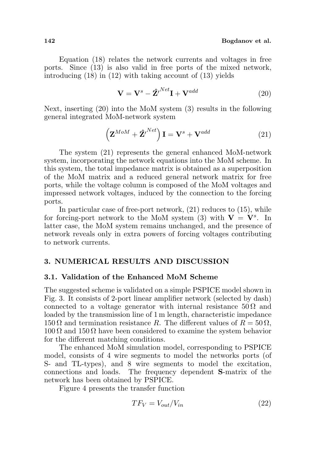Equation (18) relates the network currents and voltages in free ports. Since (13) is also valid in free ports of the mixed network, introducing (18) in (12) with taking account of (13) yields

$$
\mathbf{V} = \mathbf{V}^s - \hat{\mathbf{Z}}^{i}{}^{Net}\mathbf{I} + \mathbf{V}^{add} \tag{20}
$$

Next, inserting (20) into the MoM system (3) results in the following general integrated MoM-network system

$$
\left(\mathbf{Z}^{MoM} + \hat{\mathbf{Z}}^{I} \right) \mathbf{I} = \mathbf{V}^{s} + \mathbf{V}^{add}
$$
 (21)

The system (21) represents the general enhanced MoM-network system, incorporating the network equations into the MoM scheme. In this system, the total impedance matrix is obtained as a superposition of the MoM matrix and a reduced general network matrix for free ports, while the voltage column is composed of the MoM voltages and impressed network voltages, induced by the connection to the forcing ports.

In particular case of free-port network, (21) reduces to (15), while for forcing-port network to the MoM system (3) with  $V = V<sup>s</sup>$ . In latter case, the MoM system remains unchanged, and the presence of network reveals only in extra powers of forcing voltages contributing to network currents.

### 3. NUMERICAL RESULTS AND DISCUSSION

### 3.1. Validation of the Enhanced MoM Scheme

The suggested scheme is validated on a simple PSPICE model shown in Fig. 3. It consists of 2-port linear amplifier network (selected by dash) connected to a voltage generator with internal resistance  $50\Omega$  and loaded by the transmission line of 1 m length, characteristic impedance 150  $\Omega$  and termination resistance R. The different values of  $R = 50 \Omega$ ,  $100 \Omega$  and  $150 \Omega$  have been considered to examine the system behavior for the different matching conditions.

The enhanced MoM simulation model, corresponding to PSPICE model, consists of 4 wire segments to model the networks ports (of S- and TL-types), and 8 wire segments to model the excitation, connections and loads. The frequency dependent S-matrix of the network has been obtained by PSPICE.

Figure 4 presents the transfer function

$$
TF_V = V_{out}/V_{in} \tag{22}
$$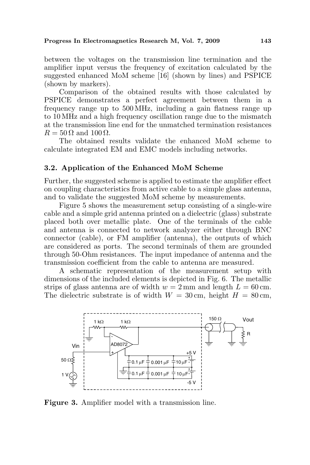between the voltages on the transmission line termination and the amplifier input versus the frequency of excitation calculated by the suggested enhanced MoM scheme [16] (shown by lines) and PSPICE (shown by markers).

Comparison of the obtained results with those calculated by PSPICE demonstrates a perfect agreement between them in a frequency range up to 500 MHz, including a gain flatness range up to 10 MHz and a high frequency oscillation range due to the mismatch at the transmission line end for the unmatched termination resistances  $R = 50 \Omega$  and  $100 \Omega$ .

The obtained results validate the enhanced MoM scheme to calculate integrated EM and EMC models including networks.

### 3.2. Application of the Enhanced MoM Scheme

Further, the suggested scheme is applied to estimate the amplifier effect on coupling characteristics from active cable to a simple glass antenna, and to validate the suggested MoM scheme by measurements.

Figure 5 shows the measurement setup consisting of a single-wire cable and a simple grid antenna printed on a dielectric (glass) substrate placed both over metallic plate. One of the terminals of the cable and antenna is connected to network analyzer either through BNC connector (cable), or FM amplifier (antenna), the outputs of which are considered as ports. The second terminals of them are grounded through 50-Ohm resistances. The input impedance of antenna and the transmission coefficient from the cable to antenna are measured.

A schematic representation of the measurement setup with dimensions of the included elements is depicted in Fig. 6. The metallic strips of glass antenna are of width  $w = 2 \,\text{mm}$  and length  $L = 60 \,\text{cm}$ . The dielectric substrate is of width  $W = 30$  cm, height  $H = 80$  cm,



Figure 3. Amplifier model with a transmission line.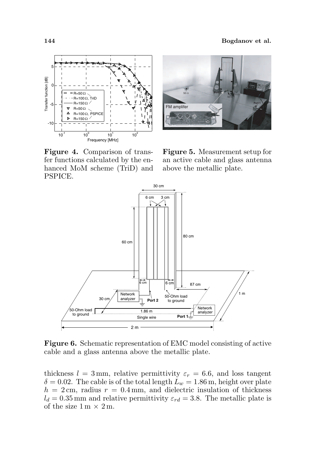

Figure 4. Comparison of transfer functions calculated by the enhanced MoM scheme (TriD) and PSPICE.



Figure 5. Measurement setup for an active cable and glass antenna above the metallic plate.



Figure 6. Schematic representation of EMC model consisting of active cable and a glass antenna above the metallic plate.

thickness  $l = 3$  mm, relative permittivity  $\varepsilon_r = 6.6$ , and loss tangent  $\delta = 0.02$ . The cable is of the total length  $L_w = 1.86$  m, height over plate  $h = 2 \text{ cm}$ , radius  $r = 0.4 \text{ mm}$ , and dielectric insulation of thickness  $l_d = 0.35$  mm and relative permittivity  $\varepsilon_{rd} = 3.8$ . The metallic plate is of the size  $1 \text{ m} \times 2 \text{ m}$ .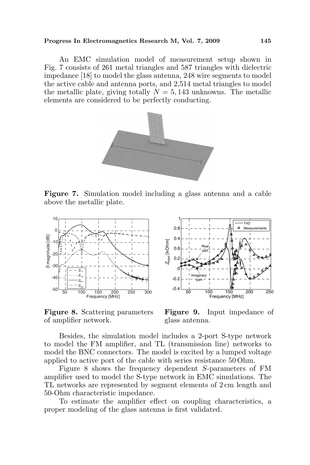An EMC simulation model of measurement setup shown in Fig. 7 consists of 261 metal triangles and 587 triangles with dielectric impedance [18] to model the glass antenna, 248 wire segments to model the active cable and antenna ports, and 2,514 metal triangles to model the metallic plate, giving totally  $N = 5,143$  unknowns. The metallic elements are considered to be perfectly conducting.



Figure 7. Simulation model including a glass antenna and a cable above the metallic plate.



Figure 8. Scattering parameters of amplifier network.



Figure 9. Input impedance of glass antenna.

Besides, the simulation model includes a 2-port S-type network to model the FM amplifier, and TL (transmission line) networks to model the BNC connectors. The model is excited by a lumped voltage applied to active port of the cable with series resistance 50 Ohm.

Figure 8 shows the frequency dependent S-parameters of FM amplifier used to model the S-type network in EMC simulations. The TL networks are represented by segment elements of 2 cm length and 50-Ohm characteristic impedance.

To estimate the amplifier effect on coupling characteristics, a proper modeling of the glass antenna is first validated.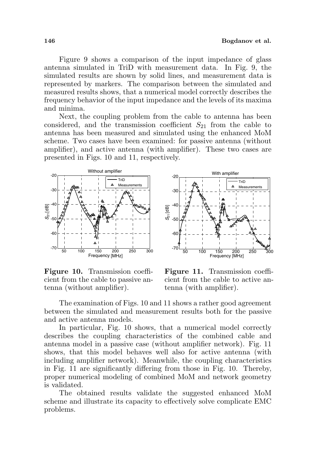Figure 9 shows a comparison of the input impedance of glass antenna simulated in TriD with measurement data. In Fig. 9, the simulated results are shown by solid lines, and measurement data is represented by markers. The comparison between the simulated and measured results shows, that a numerical model correctly describes the frequency behavior of the input impedance and the levels of its maxima and minima.

Next, the coupling problem from the cable to antenna has been considered, and the transmission coefficient  $S_{21}$  from the cable to antenna has been measured and simulated using the enhanced MoM scheme. Two cases have been examined: for passive antenna (without amplifier), and active antenna (with amplifier). These two cases are presented in Figs. 10 and 11, respectively.

 $-20$ 



50 100 150 200 250 300 -70 -60 န္း<br>-50<br>-50 -40 -30 150 200<br>Frequency [MHz]

With amplifier

TriD Measurements

Δ

Figure 10. Transmission coefficient from the cable to passive antenna (without amplifier).

Figure 11. Transmission coefficient from the cable to active antenna (with amplifier).

The examination of Figs. 10 and 11 shows a rather good agreement between the simulated and measurement results both for the passive and active antenna models.

In particular, Fig. 10 shows, that a numerical model correctly describes the coupling characteristics of the combined cable and antenna model in a passive case (without amplifier network). Fig. 11 shows, that this model behaves well also for active antenna (with including amplifier network). Meanwhile, the coupling characteristics in Fig. 11 are significantly differing from those in Fig. 10. Thereby, proper numerical modeling of combined MoM and network geometry is validated.

The obtained results validate the suggested enhanced MoM scheme and illustrate its capacity to effectively solve complicate EMC problems.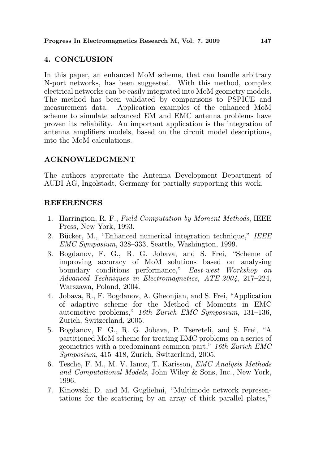## 4. CONCLUSION

In this paper, an enhanced MoM scheme, that can handle arbitrary N-port networks, has been suggested. With this method, complex electrical networks can be easily integrated into MoM geometry models. The method has been validated by comparisons to PSPICE and measurement data. Application examples of the enhanced MoM scheme to simulate advanced EM and EMC antenna problems have proven its reliability. An important application is the integration of antenna amplifiers models, based on the circuit model descriptions, into the MoM calculations.

## ACKNOWLEDGMENT

The authors appreciate the Antenna Development Department of AUDI AG, Ingolstadt, Germany for partially supporting this work.

## REFERENCES

- 1. Harrington, R. F., Field Computation by Moment Methods, IEEE Press, New York, 1993.
- 2. Bücker, M., "Enhanced numerical integration technique," IEEE EMC Symposium, 328–333, Seattle, Washington, 1999.
- 3. Bogdanov, F. G., R. G. Jobava, and S. Frei, "Scheme of improving accuracy of MoM solutions based on analysing boundary conditions performance," East-west Workshop on Advanced Techniques in Electromagnetics, ATE-2004, 217–224, Warszawa, Poland, 2004.
- 4. Jobava, R., F. Bogdanov, A. Gheonjian, and S. Frei, "Application of adaptive scheme for the Method of Moments in EMC automotive problems," 16th Zurich EMC Symposium, 131–136, Zurich, Switzerland, 2005.
- 5. Bogdanov, F. G., R. G. Jobava, P. Tsereteli, and S. Frei, "A partitioned MoM scheme for treating EMC problems on a series of geometries with a predominant common part," 16th Zurich EMC Symposium, 415–418, Zurich, Switzerland, 2005.
- 6. Tesche, F. M., M. V. Ianoz, T. Karisson, EMC Analysis Methods and Computational Models, John Wiley & Sons, Inc., New York, 1996.
- 7. Kinowski, D. and M. Guglielmi, "Multimode network representations for the scattering by an array of thick parallel plates,"